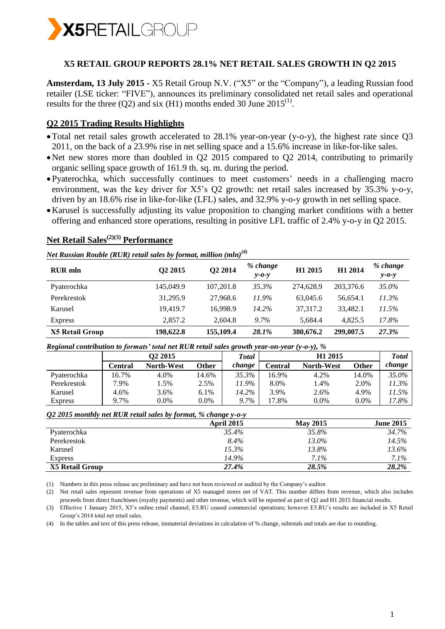

### **X5 RETAIL GROUP REPORTS 28.1% NET RETAIL SALES GROWTH IN Q2 2015**

**Amsterdam, 13 July 2015 -** X5 Retail Group N.V. ("X5" or the "Company"), a leading Russian food retailer (LSE ticker: "FIVE"), announces its preliminary consolidated net retail sales and operational results for the three (Q2) and six (H1) months ended 30 June  $2015^{(1)}$ .

## **Q2 2015 Trading Results Highlights**

- Total net retail sales growth accelerated to 28.1% year-on-year (y-o-y), the highest rate since Q3 2011, on the back of a 23.9% rise in net selling space and a 15.6% increase in like-for-like sales.
- Net new stores more than doubled in Q2 2015 compared to Q2 2014, contributing to primarily organic selling space growth of 161.9 th. sq. m. during the period.
- Pyaterochka, which successfully continues to meet customers' needs in a challenging macro environment, was the key driver for X5's Q2 growth: net retail sales increased by 35.3% y-o-y, driven by an 18.6% rise in like-for-like (LFL) sales, and 32.9% y-o-y growth in net selling space.
- Karusel is successfully adjusting its value proposition to changing market conditions with a better offering and enhanced store operations, resulting in positive LFL traffic of 2.4% y-o-y in Q2 2015.

# **Net Retail Sales(2)(3) Performance**

*Net Russian Rouble (RUR) retail sales by format, million (mln)(4)*

| <b>RUR</b> mln         | Q <sub>2</sub> 2015 | Q2 2014   | % change<br>$y - 0 - y$ | H <sub>1</sub> 2015 | H1 2014   | % change<br>$y - 0 - y$ |
|------------------------|---------------------|-----------|-------------------------|---------------------|-----------|-------------------------|
| Pyaterochka            | 145,049.9           | 107.201.8 | 35.3%                   | 274,628.9           | 203,376.6 | 35.0%                   |
| Perekrestok            | 31.295.9            | 27,968.6  | 11.9%                   | 63,045.6            | 56,654.1  | 11.3%                   |
| Karusel                | 19.419.7            | 16.998.9  | 14.2%                   | 37,317.2            | 33.482.1  | 11.5%                   |
| <b>Express</b>         | 2.857.2             | 2.604.8   | $9.7\%$                 | 5.684.4             | 4.825.5   | 17.8%                   |
| <b>X5 Retail Group</b> | 198,622.8           | 155,109.4 | 28.1%                   | 380,676.2           | 299,007.5 | 27.3%                   |

*Regional contribution to formats' total net RUR retail sales growth year-on-year (y-o-y), %*

| $\sim$         | O <sub>2</sub> 2015 |                   | Total   |         | Total    |                   |         |          |
|----------------|---------------------|-------------------|---------|---------|----------|-------------------|---------|----------|
|                | Central             | <b>North-West</b> | Other   | change  | Central  | <b>North-West</b> | Other   | change   |
| Pyaterochka    | 16.7%               | 4.0%              | 14.6%   | 35.3%   | 16.9%    | 4.2%              | 14.0%   | 35.0%    |
| Perekrestok    | 7.9%                | .5%               | 2.5%    | 11.9%   | 8.0%     | 1.4%              | 2.0%    | 11.3%    |
| Karusel        | 4.6%                | 3.6%              | 6.1%    | 14.2%   | 3.9%     | 2.6%              | 4.9%    | $11.5\%$ |
| <b>Express</b> | 9.7%                | 0.0%              | $0.0\%$ | $9.7\%$ | $17.8\%$ | $0.0\%$           | $0.0\%$ | 17.8%    |

#### *Q2 2015 monthly net RUR retail sales by format, % change y-o-y*

|                 | <b>April 2015</b> | <b>May 2015</b> | <b>June 2015</b> |
|-----------------|-------------------|-----------------|------------------|
| Pyaterochka     | 35.4%             | 35.8%           | 34.7%            |
| Perekrestok     | 8.4%              | 13.0%           | 14.5%            |
| Karusel         | 15.3%             | 13.8%           | 13.6%            |
| <b>Express</b>  | 14.9%             | $7.1\%$         | $7.1\%$          |
| X5 Retail Group | 27.4%             | 28.5%           | 28.2%            |

(1) Numbers in this press release are preliminary and have not been reviewed or audited by the Company's auditor.

(2) Net retail sales represent revenue from operations of X5 managed stores net of VAT. This number differs from revenue, which also includes proceeds from direct franchisees (royalty payments) and other revenue, which will be reported as part of Q2 and H1 2015 financial results.

(3) Effective 1 January 2015, X5's online retail channel, E5.RU ceased commercial operations; however E5.RU's results are included in X5 Retail Group's 2014 total net retail sales.

(4) In the tables and text of this press release, immaterial deviations in calculation of % change, subtotals and totals are due to rounding.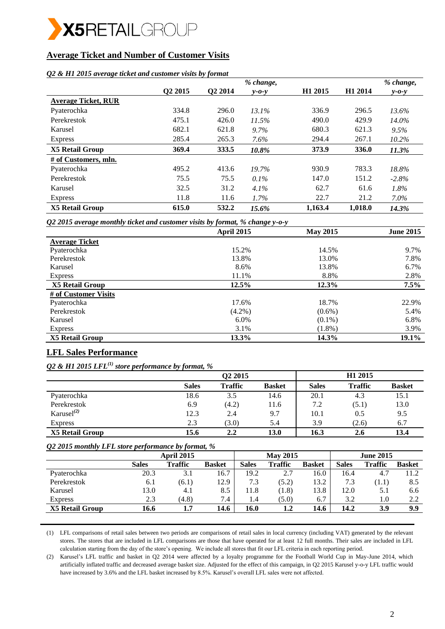

## **Average Ticket and Number of Customer Visits**

### *Q2 & H1 2015 average ticket and customer visits by format*

|                            |                     |         | % change,   |                     |                     | % change,   |
|----------------------------|---------------------|---------|-------------|---------------------|---------------------|-------------|
|                            | Q <sub>2</sub> 2015 | Q2 2014 | $v$ -0- $v$ | H <sub>1</sub> 2015 | H <sub>1</sub> 2014 | $y - 0 - y$ |
| <b>Average Ticket, RUR</b> |                     |         |             |                     |                     |             |
| Pyaterochka                | 334.8               | 296.0   | 13.1%       | 336.9               | 296.5               | 13.6%       |
| Perekrestok                | 475.1               | 426.0   | 11.5%       | 490.0               | 429.9               | $14.0\%$    |
| Karusel                    | 682.1               | 621.8   | 9.7%        | 680.3               | 621.3               | 9.5%        |
| <b>Express</b>             | 285.4               | 265.3   | 7.6%        | 294.4               | 267.1               | $10.2\%$    |
| <b>X5 Retail Group</b>     | 369.4               | 333.5   | 10.8%       | 373.9               | 336.0               | 11.3%       |
| # of Customers, mln.       |                     |         |             |                     |                     |             |
| Pyaterochka                | 495.2               | 413.6   | 19.7%       | 930.9               | 783.3               | 18.8%       |
| Perekrestok                | 75.5                | 75.5    | $0.1\%$     | 147.0               | 151.2               | $-2.8%$     |
| Karusel                    | 32.5                | 31.2    | $4.1\%$     | 62.7                | 61.6                | 1.8%        |
| <b>Express</b>             | 11.8                | 11.6    | $1.7\%$     | 22.7                | 21.2                | $7.0\%$     |
| <b>X5 Retail Group</b>     | 615.0               | 532.2   | 15.6%       | 1,163.4             | 1,018.0             | 14.3%       |

*Q2 2015 average monthly ticket and customer visits by format, % change y-o-y*

|                       | April 2015 | <b>May 2015</b> | <b>June 2015</b> |
|-----------------------|------------|-----------------|------------------|
| <b>Average Ticket</b> |            |                 |                  |
| Pyaterochka           | 15.2%      | 14.5%           | 9.7%             |
| Perekrestok           | 13.8%      | 13.0%           | 7.8%             |
| Karusel               | 8.6%       | 13.8%           | 6.7%             |
| <b>Express</b>        | 11.1%      | 8.8%            | 2.8%             |
| X5 Retail Group       | 12.5%      | 12.3%           | 7.5%             |
| # of Customer Visits  |            |                 |                  |
| Pyaterochka           | 17.6%      | 18.7%           | 22.9%            |
| Perekrestok           | $(4.2\%)$  | $(0.6\%)$       | 5.4%             |
| Karusel               | $6.0\%$    | $(0.1\%)$       | 6.8%             |
| <b>Express</b>        | 3.1%       | $(1.8\%)$       | 3.9%             |
| X5 Retail Group       | 13.3%      | 14.3%           | 19.1%            |

## **LFL Sales Performance**

*Q2 & H1 2015 LFL(1) store performance by format, %*

|                        |              | Q <sub>2</sub> 2015 |               |              | H <sub>1</sub> 2015 |               |  |
|------------------------|--------------|---------------------|---------------|--------------|---------------------|---------------|--|
|                        | <b>Sales</b> | <b>Traffic</b>      | <b>Basket</b> | <b>Sales</b> | <b>Traffic</b>      | <b>Basket</b> |  |
| Pyaterochka            | 18.6         | 3.5                 | 14.6          | 20.1         | 4.3                 | 15.1          |  |
| Perekrestok            | 6.9          | (4.2)               | 11.6          | 7.2          | (5.1)               | 13.0          |  |
| Karusel $^{(2)}$       | 12.3         | 2.4                 | 9.7           | 10.1         | 0.5                 | 9.5           |  |
| <b>Express</b>         | 2.3          | (3.0)               | 5.4           | 3.9          | (2.6)               | 6.7           |  |
| <b>X5 Retail Group</b> | 15.6         | 2.2                 | 13.0          | 16.3         | 2.6                 | 13.4          |  |

#### *Q2 2015 monthly LFL store performance by format, %*

|                        | <b>April 2015</b> |                |               | <b>May 2015</b> |                |               | <b>June 2015</b> |                  |               |
|------------------------|-------------------|----------------|---------------|-----------------|----------------|---------------|------------------|------------------|---------------|
|                        | <b>Sales</b>      | <b>Traffic</b> | <b>Basket</b> | <b>Sales</b>    | <b>Traffic</b> | <b>Basket</b> | <b>Sales</b>     | Traffic          | <b>Basket</b> |
| Pyaterochka            | 20.3              | 3.1            | 16.7          | 19.2            | 2.7            | 16.0          | 16.4             | 4.7              | 11.2          |
| Perekrestok            | 6.1               | (6.1)          | 12.9          | 7.3             | (5.2)          | 13.2          | 7.3              | (1.1)            | 8.5           |
| Karusel                | 13.0              | 4.1            | 8.5           | 11.8            | (1.8)          | 13.8          | 12.0             | 5.1              | 6.6           |
| <b>Express</b>         | 2.3               | (4.8)          | 7.4           | 1.4             | (5.0)          | 6.7           | 3.2              | 1.0 <sub>1</sub> | 2.2           |
| <b>X5 Retail Group</b> | 16.6              | $1.7\,$        | 14.6          | 16.0            | 1.2            | 14.6          | 14.2             | <b>3.9</b>       | 9.9           |

(1) LFL comparisons of retail sales between two periods are comparisons of retail sales in local currency (including VAT) generated by the relevant stores. The stores that are included in LFL comparisons are those that have operated for at least 12 full months. Their sales are included in LFL calculation starting from the day of the store's opening. We include all stores that fit our LFL criteria in each reporting period.

(2) Karusel's LFL traffic and basket in Q2 2014 were affected by a loyalty programme for the Football World Cup in May-June 2014, which artificially inflated traffic and decreased average basket size. Adjusted for the effect of this campaign, in Q2 2015 Karusel y-o-y LFL traffic would have increased by 3.6% and the LFL basket increased by 8.5%. Karusel's overall LFL sales were not affected.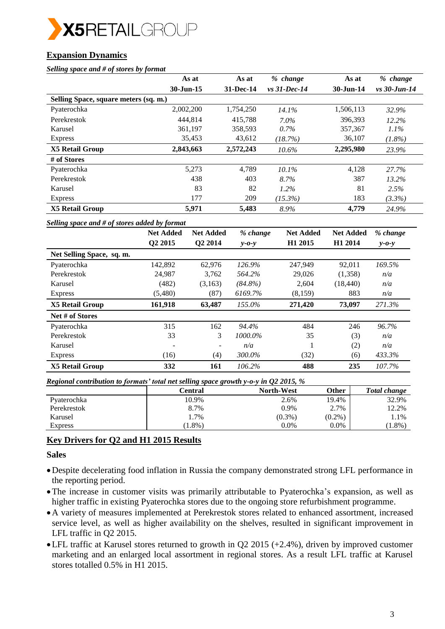

# **Expansion Dynamics**

### *Selling space and # of stores by format*

|                                       | As at                  | As at     | % change        | As at        | % change       |
|---------------------------------------|------------------------|-----------|-----------------|--------------|----------------|
|                                       | $30 - \text{Jun} - 15$ | 31-Dec-14 | $vs. 31-Dec-14$ | $30-J$ un-14 | $vs$ 30-Jun-14 |
| Selling Space, square meters (sq. m.) |                        |           |                 |              |                |
| Pyaterochka                           | 2,002,200              | 1,754,250 | 14.1%           | 1,506,113    | 32.9%          |
| Perekrestok                           | 444.814                | 415.788   | $7.0\%$         | 396,393      | 12.2%          |
| Karusel                               | 361,197                | 358,593   | 0.7%            | 357,367      | $1.1\%$        |
| <b>Express</b>                        | 35,453                 | 43,612    | (18.7%)         | 36,107       | $(1.8\%)$      |
| <b>X5 Retail Group</b>                | 2,843,663              | 2,572,243 | $10.6\%$        | 2,295,980    | 23.9%          |
| # of Stores                           |                        |           |                 |              |                |
| Pyaterochka                           | 5,273                  | 4.789     | $10.1\%$        | 4,128        | 27.7%          |
| Perekrestok                           | 438                    | 403       | 8.7%            | 387          | $13.2\%$       |
| Karusel                               | 83                     | 82        | $1.2\%$         | 81           | 2.5%           |
| <b>Express</b>                        | 177                    | 209       | $(15.3\%)$      | 183          | $(3.3\%)$      |
| <b>X5 Retail Group</b>                | 5,971                  | 5,483     | 8.9%            | 4,779        | 24.9%          |

#### *Selling space and # of stores added by format*

|                           | <b>Net Added</b>    | <b>Net Added</b>         | % change    | <b>Net Added</b>    | <b>Net Added</b>    | % change        |
|---------------------------|---------------------|--------------------------|-------------|---------------------|---------------------|-----------------|
|                           | Q <sub>2</sub> 2015 | Q2 2014                  | $v$ -0- $v$ | H <sub>1</sub> 2015 | H <sub>1</sub> 2014 | $v$ - $o$ - $v$ |
| Net Selling Space, sq. m. |                     |                          |             |                     |                     |                 |
| Pyaterochka               | 142,892             | 62,976                   | 126.9%      | 247,949             | 92,011              | 169.5%          |
| Perekrestok               | 24,987              | 3,762                    | 564.2%      | 29,026              | (1,358)             | n/a             |
| Karusel                   | (482)               | (3,163)                  | $(84.8\%)$  | 2,604               | (18, 440)           | n/a             |
| <b>Express</b>            | (5,480)             | (87)                     | 6169.7%     | (8,159)             | 883                 | n/a             |
| <b>X5 Retail Group</b>    | 161,918             | 63,487                   | 155.0%      | 271,420             | 73,097              | 271.3%          |
| Net # of Stores           |                     |                          |             |                     |                     |                 |
| Pyaterochka               | 315                 | 162                      | 94.4%       | 484                 | 246                 | 96.7%           |
| Perekrestok               | 33                  | 3                        | 1000.0%     | 35                  | (3)                 | n/a             |
| Karusel                   |                     | $\overline{\phantom{0}}$ | n/a         |                     | (2)                 | n/a             |
| <b>Express</b>            | (16)                | (4)                      | 300.0%      | (32)                | (6)                 | 433.3%          |
| <b>X5 Retail Group</b>    | 332                 | 161                      | 106.2%      | 488                 | 235                 | 107.7%          |

*Regional contribution to formats' total net selling space growth y-o-y in Q2 2015, %* 

|                | Central   | <b>North-West</b> | Other     | <b>Total change</b> |
|----------------|-----------|-------------------|-----------|---------------------|
| Pyaterochka    | 10.9%     | 2.6%              | 19.4%     | 32.9%               |
| Perekrestok    | 8.7%      | 0.9%              | 2.7%      | 12.2%               |
| Karusel        | 1.7%      | $(0.3\%)$         | $(0.2\%)$ | 1.1%                |
| <b>Express</b> | $1.8\%$ ) | $0.0\%$           | $0.0\%$   | $(1.8\%)$           |

### **Key Drivers for Q2 and H1 2015 Results**

### **Sales**

- Despite decelerating food inflation in Russia the company demonstrated strong LFL performance in the reporting period.
- The increase in customer visits was primarily attributable to Pyaterochka's expansion, as well as higher traffic in existing Pyaterochka stores due to the ongoing store refurbishment programme.
- A variety of measures implemented at Perekrestok stores related to enhanced assortment, increased service level, as well as higher availability on the shelves, resulted in significant improvement in LFL traffic in Q2 2015.
- LFL traffic at Karusel stores returned to growth in Q2 2015 (+2.4%), driven by improved customer marketing and an enlarged local assortment in regional stores. As a result LFL traffic at Karusel stores totalled 0.5% in H1 2015.